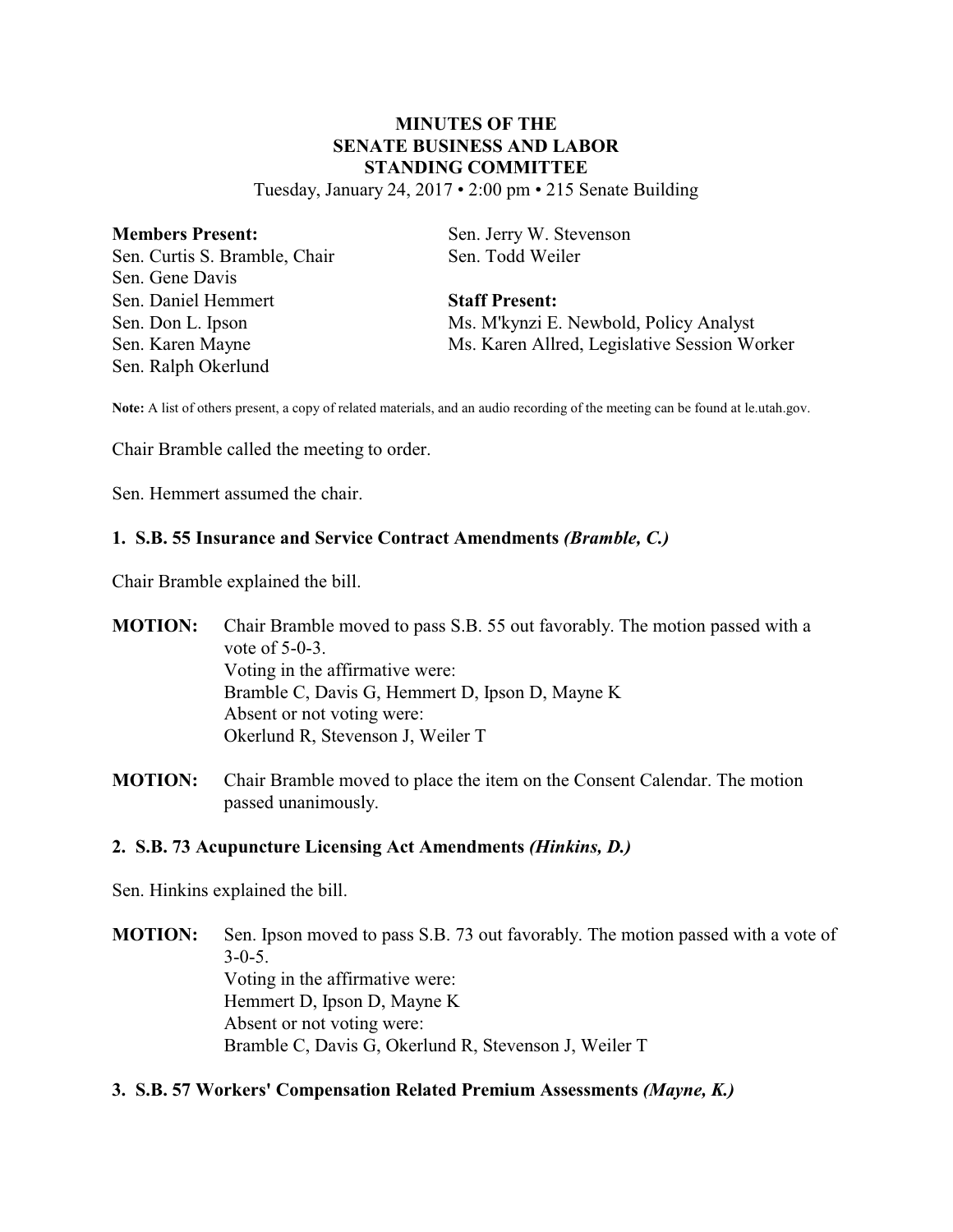# **MINUTES OF THE SENATE BUSINESS AND LABOR STANDING COMMITTEE**

Tuesday, January 24, 2017 • 2:00 pm • 215 Senate Building

| <b>Members Present:</b>       | Sen. Jerry W. Stevenson                      |
|-------------------------------|----------------------------------------------|
| Sen. Curtis S. Bramble, Chair | Sen. Todd Weiler                             |
| Sen. Gene Davis               |                                              |
| Sen. Daniel Hemmert           | <b>Staff Present:</b>                        |
| Sen. Don L. Ipson             | Ms. M'kynzi E. Newbold, Policy Analyst       |
| Sen. Karen Mayne              | Ms. Karen Allred, Legislative Session Worker |
| Sen. Ralph Okerlund           |                                              |

**Note:** A list of others present, a copy of related materials, and an audio recording of the meeting can be found at le.utah.gov.

Chair Bramble called the meeting to order.

Sen. Hemmert assumed the chair.

### **1. S.B. 55 Insurance and Service Contract Amendments** *(Bramble, C.)*

Chair Bramble explained the bill.

**MOTION:** Chair Bramble moved to pass S.B. 55 out favorably. The motion passed with a vote of 5-0-3. Voting in the affirmative were: Bramble C, Davis G, Hemmert D, Ipson D, Mayne K Absent or not voting were: Okerlund R, Stevenson J, Weiler T

**MOTION:** Chair Bramble moved to place the item on the Consent Calendar. The motion passed unanimously.

### **2. S.B. 73 Acupuncture Licensing Act Amendments** *(Hinkins, D.)*

Sen. Hinkins explained the bill.

**MOTION:** Sen. Ipson moved to pass S.B. 73 out favorably. The motion passed with a vote of  $3-0-5$ . Voting in the affirmative were: Hemmert D, Ipson D, Mayne K Absent or not voting were: Bramble C, Davis G, Okerlund R, Stevenson J, Weiler T

#### **3. S.B. 57 Workers' Compensation Related Premium Assessments** *(Mayne, K.)*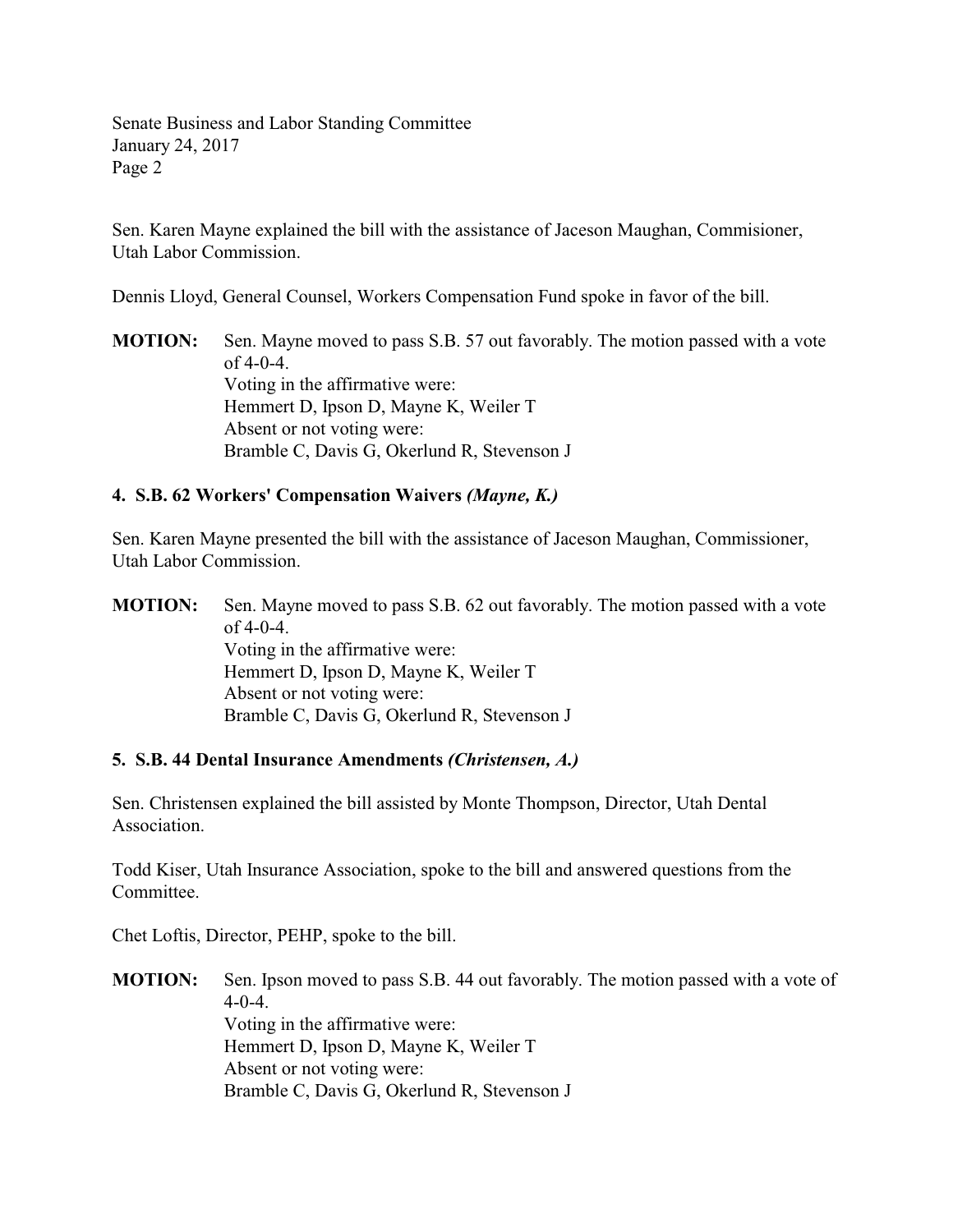Senate Business and Labor Standing Committee January 24, 2017 Page 2

Sen. Karen Mayne explained the bill with the assistance of Jaceson Maughan, Commisioner, Utah Labor Commission.

Dennis Lloyd, General Counsel, Workers Compensation Fund spoke in favor of the bill.

**MOTION:** Sen. Mayne moved to pass S.B. 57 out favorably. The motion passed with a vote  $of 4-0-4.$ Voting in the affirmative were: Hemmert D, Ipson D, Mayne K, Weiler T Absent or not voting were: Bramble C, Davis G, Okerlund R, Stevenson J

## **4. S.B. 62 Workers' Compensation Waivers** *(Mayne, K.)*

Sen. Karen Mayne presented the bill with the assistance of Jaceson Maughan, Commissioner, Utah Labor Commission.

**MOTION:** Sen. Mayne moved to pass S.B. 62 out favorably. The motion passed with a vote of  $4-0-4$ . Voting in the affirmative were: Hemmert D, Ipson D, Mayne K, Weiler T Absent or not voting were: Bramble C, Davis G, Okerlund R, Stevenson J

### **5. S.B. 44 Dental Insurance Amendments** *(Christensen, A.)*

Sen. Christensen explained the bill assisted by Monte Thompson, Director, Utah Dental Association.

Todd Kiser, Utah Insurance Association, spoke to the bill and answered questions from the Committee.

Chet Loftis, Director, PEHP, spoke to the bill.

**MOTION:** Sen. Ipson moved to pass S.B. 44 out favorably. The motion passed with a vote of  $4-0-4.$ Voting in the affirmative were: Hemmert D, Ipson D, Mayne K, Weiler T Absent or not voting were: Bramble C, Davis G, Okerlund R, Stevenson J